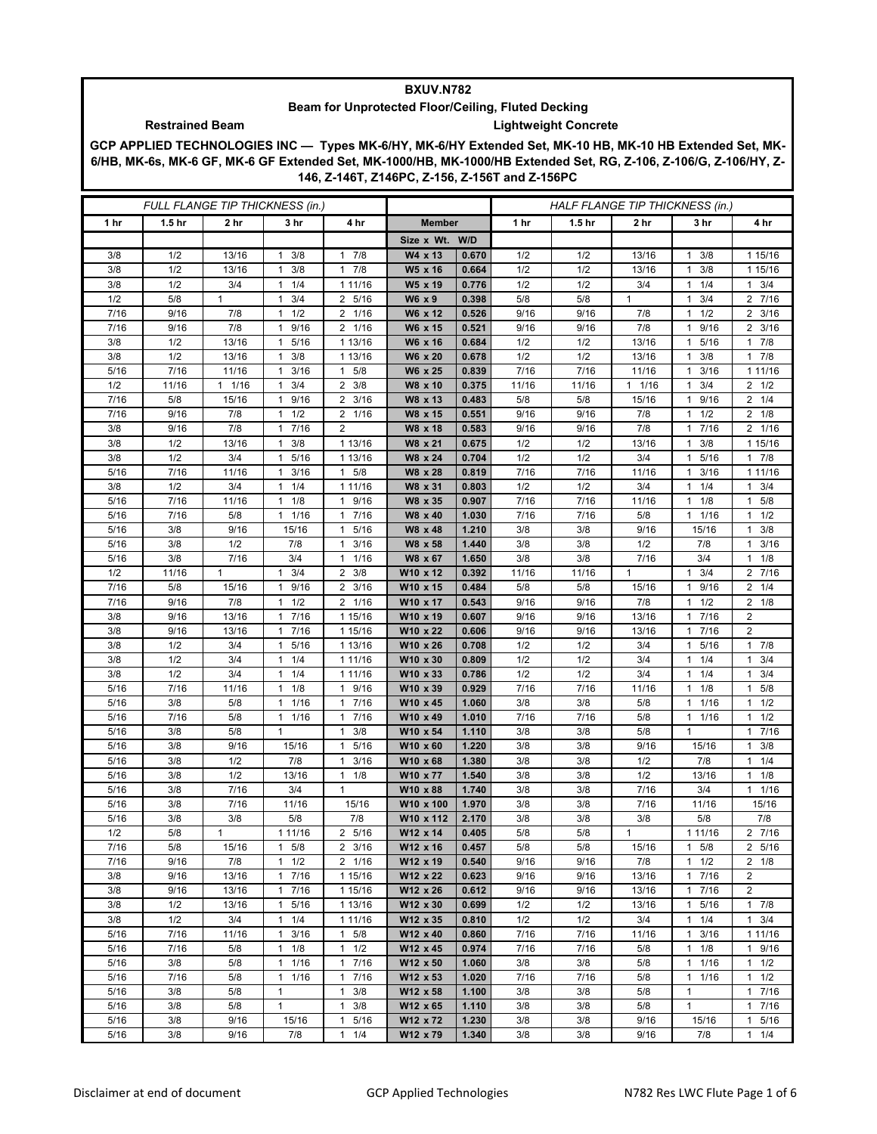## **BXUV.N782**

## **Beam for Unprotected Floor/Ceiling, Fluted Decking Restrained Beam Lightweight Concrete**

**GCP APPLIED TECHNOLOGIES INC — Types MK-6/HY, MK-6/HY Extended Set, MK-10 HB, MK-10 HB Extended Set, MK-6/HB, MK-6s, MK-6 GF, MK-6 GF Extended Set, MK-1000/HB, MK-1000/HB Extended Set, RG, Z-106, Z-106/G, Z-106/HY, Z-146, Z-146T, Z146PC, Z-156, Z-156T and Z-156PC**

| FULL FLANGE TIP THICKNESS (in.) |                   |              |                                  |                        |                       |                |            | HALF FLANGE TIP THICKNESS (in.) |              |                                    |                      |  |
|---------------------------------|-------------------|--------------|----------------------------------|------------------------|-----------------------|----------------|------------|---------------------------------|--------------|------------------------------------|----------------------|--|
| 1 hr                            | 1.5 <sub>hr</sub> | 2 hr         | 3 hr                             | 4 hr                   | <b>Member</b>         |                | 1 hr       | 1.5 <sub>hr</sub>               | 2 hr         | 3 hr                               | 4 hr                 |  |
|                                 |                   |              |                                  |                        | Size x Wt. W/D        |                |            |                                 |              |                                    |                      |  |
| 3/8                             | 1/2               | 13/16        | 3/8<br>$\mathbf{1}$              | 7/8<br>$\mathbf{1}$    | W4 x 13               | 0.670          | 1/2        | 1/2                             | 13/16        | 3/8<br>1                           | 1 15/16              |  |
| 3/8                             | 1/2               | 13/16        | 3/8<br>$\mathbf{1}$              | 7/8<br>$\mathbf{1}$    | W5 x 16               | 0.664          | 1/2        | 1/2                             | 13/16        | 3/8<br>$\mathbf{1}$                | 1 15/16              |  |
| 3/8                             | 1/2               | 3/4          | 1/4<br>1                         | 1 11/16                | W5 x 19               | 0.776          | 1/2        | 1/2                             | 3/4          | 1/4<br>1                           | $1 \t3/4$            |  |
| 1/2                             | 5/8               | $\mathbf{1}$ | 3/4<br>$\mathbf{1}$              | 2 5/16                 | W6 x 9                | 0.398          | 5/8        | 5/8                             | $\mathbf{1}$ | 3/4<br>1                           | 2 7/16               |  |
| 7/16                            | 9/16              | 7/8          | 1/2<br>$\mathbf{1}$              | 1/16<br>$\overline{2}$ | W6 x 12               | 0.526          | 9/16       | 9/16                            | 7/8          | 1/2<br>$\mathbf{1}$                | $2 \frac{3}{16}$     |  |
| 7/16                            | 9/16              | 7/8          | 9/16<br>$\mathbf{1}$             | 2 1/16                 | W6 x 15               | 0.521          | 9/16       | 9/16                            | 7/8          | 9/16<br>1                          | $2 \frac{3}{16}$     |  |
| 3/8                             | 1/2               | 13/16        | 5/16<br>$\mathbf{1}$             | 1 13/16                | W6 x 16               | 0.684          | 1/2        | 1/2                             | 13/16        | 5/16<br>1                          | 17/8                 |  |
| 3/8                             | 1/2               | 13/16        | 3/8<br>$\mathbf{1}$              | 1 13/16                | W6 x 20               | 0.678          | 1/2        | 1/2                             | 13/16        | 3/8<br>1                           | 17/8                 |  |
| 5/16                            | 7/16              | 11/16        | 3/16<br>$\mathbf{1}$             | 5/8<br>$\mathbf{1}$    | W6 x 25               | 0.839          | 7/16       | 7/16                            | 11/16        | 3/16<br>1                          | 1 11/16              |  |
| 1/2                             | 11/16             | $1 \t1/16$   | $1 \t3/4$                        | $2 \frac{3}{8}$        | W8 x 10               | 0.375          | 11/16      | 11/16                           | 11/16        | 3/4<br>1                           | $2 \frac{1}{2}$      |  |
| 7/16                            | 5/8               | 15/16        | 9/16<br>1                        | 3/16<br>2              | W8 x 13               | 0.483          | 5/8        | 5/8                             | 15/16        | 9/16<br>1                          | $2 \t1/4$            |  |
| 7/16                            | 9/16              | 7/8          | $1 \t1/2$                        | $\frac{1}{2}$ 1/16     | W8 x 15               | 0.551          | 9/16       | 9/16                            | 7/8          | 1/2<br>1                           | $2 \t1/8$            |  |
| 3/8                             | 9/16              | 7/8          | 17/16                            | 2                      | W8 x 18               | 0.583          | 9/16       | 9/16                            | 7/8          | 7/16<br>$\mathbf{1}$               | 2 1/16               |  |
| 3/8<br>3/8                      | 1/2<br>1/2        | 13/16<br>3/4 | 3/8<br>1<br>5/16<br>$\mathbf{1}$ | 1 13/16<br>1 13/16     | W8 x 21<br>W8 x 24    | 0.675<br>0.704 | 1/2<br>1/2 | 1/2<br>1/2                      | 13/16<br>3/4 | 3/8<br>1<br>5/16<br>$\overline{1}$ | 1 15/16<br>17/8      |  |
| 5/16                            | 7/16              | 11/16        | $\mathbf{1}$<br>3/16             | $1 \t5/8$              | W8 x 28               | 0.819          | 7/16       | 7/16                            | 11/16        | 1<br>3/16                          | 1 1 1 / 1 6          |  |
| 3/8                             | 1/2               | 3/4          | 1/4<br>1                         | 1 11/16                | W8 x 31               | 0.803          | 1/2        | 1/2                             | 3/4          | 1/4<br>1                           | $1 \t3/4$            |  |
| 5/16                            | 7/16              | 11/16        | 1/8<br>1                         | 9/16<br>$\mathbf{1}$   | W8 x 35               | 0.907          | 7/16       | 7/16                            | 11/16        | 1/8<br>1                           | 5/8<br>1             |  |
| 5/16                            | 7/16              | 5/8          | 1 1/16                           | 7/16<br>$\mathbf{1}$   | W8 x 40               | 1.030          | 7/16       | 7/16                            | 5/8          | 1 1/16                             | $1 \t1/2$            |  |
| 5/16                            | 3/8               | 9/16         | 15/16                            | 5/16<br>$\mathbf{1}$   | W8 x 48               | 1.210          | 3/8        | 3/8                             | 9/16         | 15/16                              | $1 \t3/8$            |  |
| 5/16                            | 3/8               | 1/2          | 7/8                              | 3/16<br>1              | W8 x 58               | 1.440          | 3/8        | 3/8                             | 1/2          | 7/8                                | 3/16<br>$\mathbf{1}$ |  |
| 5/16                            | 3/8               | 7/16         | 3/4                              | $\mathbf{1}$<br>1/16   | W8 x 67               | 1.650          | 3/8        | 3/8                             | 7/16         | 3/4                                | 1/8<br>1             |  |
| 1/2                             | 11/16             | $\mathbf{1}$ | 3/4<br>$\mathbf{1}$              | 3/8<br>2               | W10 x 12              | 0.392          | 11/16      | 11/16                           | $\mathbf{1}$ | 3/4<br>$\mathbf{1}$                | 2 7/16               |  |
| 7/16                            | 5/8               | 15/16        | 9/16<br>$\mathbf{1}$             | 3/16<br>2              | W10 x 15              | 0.484          | 5/8        | 5/8                             | 15/16        | 9/16<br>1                          | $2 \t1/4$            |  |
| 7/16                            | 9/16              | 7/8          | 1/2<br>$\mathbf{1}$              | 2 1/16                 | W10 x 17              | 0.543          | 9/16       | 9/16                            | 7/8          | 1/2<br>1                           | $2 \t1/8$            |  |
| 3/8                             | 9/16              | 13/16        | 7/16<br>1                        | 1 15/16                | W10 x 19              | 0.607          | 9/16       | 9/16                            | 13/16        | 7/16<br>1                          | $\overline{2}$       |  |
| 3/8                             | 9/16              | 13/16        | 1 7/16                           | 1 15/16                | W10 x 22              | 0.606          | 9/16       | 9/16                            | 13/16        | 7/16<br>$\mathbf{1}$               | $\overline{2}$       |  |
| 3/8                             | 1/2               | 3/4          | 5/16<br>$\mathbf{1}$             | 1 13/16                | W10 x 26              | 0.708          | 1/2        | 1/2                             | 3/4          | 5/16<br>1                          | 17/8                 |  |
| 3/8                             | 1/2               | 3/4          | 1/4<br>$\mathbf{1}$              | 1 11/16                | W10 x 30              | 0.809          | 1/2        | 1/2                             | 3/4          | 1/4<br>1                           | $1 \t3/4$            |  |
| 3/8                             | 1/2               | 3/4          | 1/4<br>$\mathbf{1}$              | 1 11/16                | W10 x 33              | 0.786          | 1/2        | 1/2                             | 3/4          | 1/4<br>1                           | 3/4<br>$\mathbf{1}$  |  |
| 5/16                            | 7/16              | 11/16        | $1 \t1/8$                        | 1 9/16                 | W10 x 39              | 0.929          | 7/16       | 7/16                            | 11/16        | 1/8<br>1                           | 1 5/8                |  |
| 5/16                            | 3/8               | 5/8          | $1 \t1/16$                       | 7/16<br>$\mathbf{1}$   | W10 x 45              | 1.060          | 3/8        | 3/8                             | 5/8          | 1/16<br>1                          | $1 \t1/2$            |  |
| 5/16                            | 7/16              | 5/8          | 1/16<br>$\mathbf{1}$             | 7/16<br>$\mathbf{1}$   | W10 x 49              | 1.010          | 7/16       | 7/16                            | 5/8          | 1/16<br>1                          | 1/2<br>1             |  |
| 5/16                            | 3/8               | 5/8          | $\mathbf{1}$                     | 3/8<br>$\mathbf{1}$    | W10 x 54              | 1.110          | 3/8        | 3/8                             | 5/8          | 1                                  | 1 7/16               |  |
| 5/16                            | 3/8               | 9/16         | 15/16                            | 5/16<br>$\mathbf{1}$   | W10 x 60              | 1.220          | 3/8        | 3/8                             | 9/16         | 15/16                              | $1 \t3/8$            |  |
| 5/16                            | 3/8               | 1/2          | 7/8                              | 3/16<br>1              | W10 x 68              | 1.380          | 3/8        | 3/8                             | 1/2          | 7/8                                | 1/4                  |  |
| 5/16<br>5/16                    | 3/8               | 1/2          | 13/16                            | 1/8<br>$\mathbf{1}$    | W10 x 77              | 1.540          | 3/8        | 3/8                             | 1/2          | 13/16                              | $1 \t1/8$            |  |
| 5/16                            | 3/8<br>3/8        | 7/16<br>7/16 | 3/4<br>11/16                     | 1<br>15/16             | W10 x 88<br>W10 x 100 | 1.740<br>1.970 | 3/8<br>3/8 | 3/8<br>3/8                      | 7/16<br>7/16 | 3/4<br>11/16                       | $1 \t1/16$<br>15/16  |  |
| 5/16                            | 3/8               | 3/8          | 5/8                              | 7/8                    | W10 x 112             | 2.170          | 3/8        | 3/8                             | 3/8          | 5/8                                | 7/8                  |  |
| 1/2                             | $5/8$             | 1            | 1 11/16                          | 2 5/16                 | W12 x 14              | 0.405          | $5/8$      | 5/8                             | 1            | 1 11/16                            | $2 \t7/16$           |  |
| 7/16                            | 5/8               | 15/16        | $1 \t5/8$                        | $2 \frac{3}{16}$       | W12 x 16              | 0.457          | 5/8        | 5/8                             | 15/16        | 5/8<br>$\mathbf{1}$                | 2 5/16               |  |
| 7/16                            | 9/16              | 7/8          | 1/2<br>$\mathbf{1}$              | 2 1/16                 | W12 x 19              | 0.540          | 9/16       | 9/16                            | 7/8          | 1/2<br>$\mathbf{1}$                | $2 \t1/8$            |  |
| 3/8                             | 9/16              | 13/16        | 17/16                            | 1 15/16                | W12 x 22              | 0.623          | 9/16       | 9/16                            | 13/16        | 1 7/16                             | $\boldsymbol{2}$     |  |
| 3/8                             | 9/16              | 13/16        | 17/16                            | 1 15/16                | W12 x 26              | 0.612          | 9/16       | 9/16                            | 13/16        | 7/16<br>1                          | $\overline{2}$       |  |
| 3/8                             | 1/2               | 13/16        | 5/16<br>$\mathbf{1}$             | 1 13/16                | W12 x 30              | 0.699          | 1/2        | 1/2                             | 13/16        | 5/16<br>$\mathbf{1}$               | 17/8                 |  |
| 3/8                             | 1/2               | 3/4          | 1/4<br>$\mathbf{1}$              | 1 11/16                | W12 x 35              | 0.810          | 1/2        | 1/2                             | 3/4          | $\mathbf{1}$<br>1/4                | $1 \t3/4$            |  |
| 5/16                            | 7/16              | 11/16        | 3/16<br>$\mathbf{1}$             | 5/8<br>$\mathbf{1}$    | W12 x 40              | 0.860          | 7/16       | 7/16                            | 11/16        | 3/16<br>1                          | 1 1 1 / 16           |  |
| 5/16                            | 7/16              | 5/8          | $1 \t1/8$                        | $1 \t1/2$              | W12 x 45              | 0.974          | 7/16       | 7/16                            | 5/8          | $\mathbf{1}$<br>1/8                | 1 9/16               |  |
| 5/16                            | 3/8               | 5/8          | 1/16<br>$\mathbf{1}$             | 7/16<br>$\mathbf{1}$   | W12 x 50              | 1.060          | 3/8        | 3/8                             | 5/8          | 1<br>1/16                          | $1 \t1/2$            |  |
| 5/16                            | 7/16              | 5/8          | 1/16<br>$\mathbf{1}$             | 7/16<br>1              | W12 x 53              | 1.020          | 7/16       | 7/16                            | 5/8          | 1/16<br>1                          | $1 \t1/2$            |  |
| 5/16                            | 3/8               | 5/8          | $\mathbf{1}$                     | $\mathbf{1}$<br>3/8    | W12 x 58              | 1.100          | 3/8        | 3/8                             | 5/8          | $\mathbf{1}$                       | 17/16                |  |
| 5/16                            | 3/8               | 5/8          | $\mathbf{1}$                     | $\mathbf{1}$<br>3/8    | W12 x 65              | 1.110          | 3/8        | 3/8                             | 5/8          | $\mathbf{1}$                       | 17/16                |  |
| 5/16                            | 3/8               | 9/16         | 15/16                            | 5/16<br>1              | W12 x 72              | 1.230          | 3/8        | 3/8                             | 9/16         | 15/16                              | 1 5/16               |  |
| 5/16                            | 3/8               | 9/16         | 7/8                              | 1/4<br>$\mathbf{1}$    | W12 x 79              | 1.340          | 3/8        | 3/8                             | 9/16         | 7/8                                | $1 \t1/4$            |  |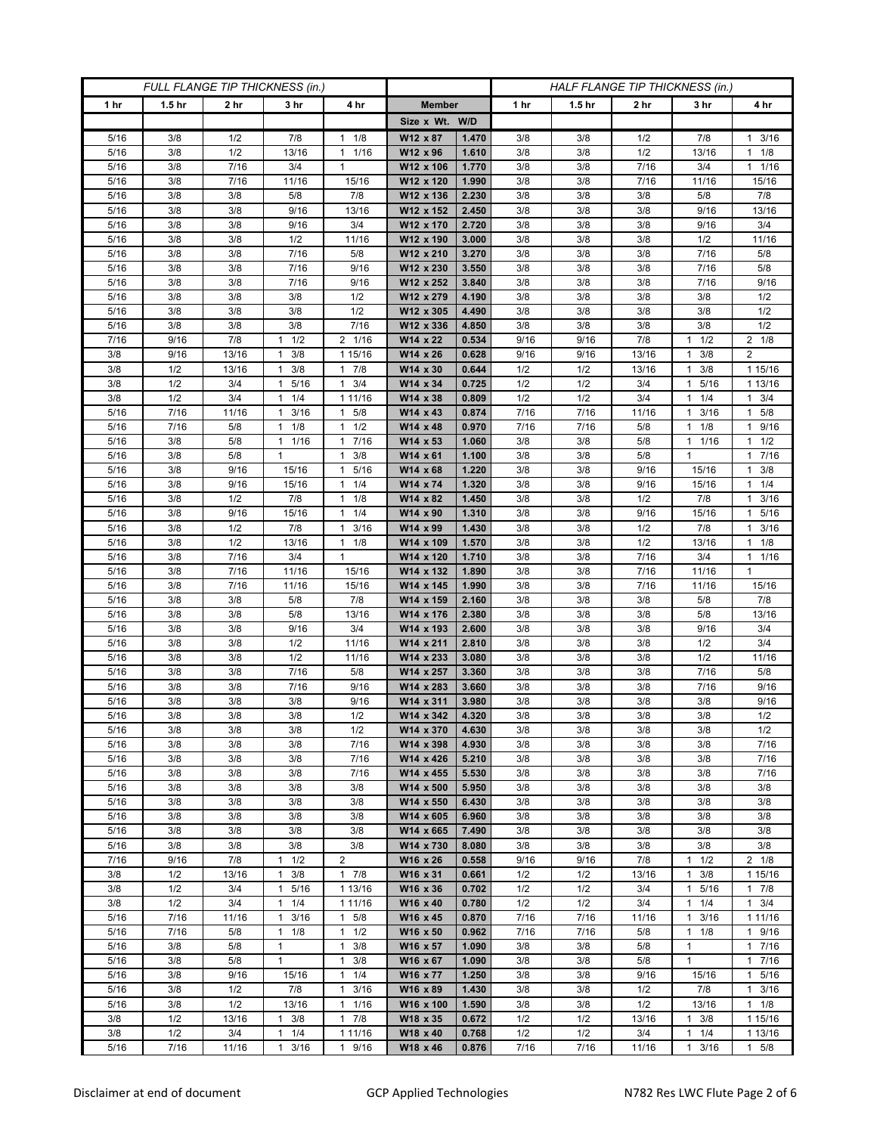| FULL FLANGE TIP THICKNESS (in.) |                   |                 |                              |                                            | HALF FLANGE TIP THICKNESS (in.) |                |            |                   |                 |                              |                      |
|---------------------------------|-------------------|-----------------|------------------------------|--------------------------------------------|---------------------------------|----------------|------------|-------------------|-----------------|------------------------------|----------------------|
| 1 <sub>hr</sub>                 | 1.5 <sub>hr</sub> | 2 <sub>hr</sub> | 3 <sub>hr</sub>              | 4 hr                                       | <b>Member</b>                   |                | 1 hr       | 1.5 <sub>hr</sub> | 2 <sub>hr</sub> | 3 hr                         | 4 hr                 |
|                                 |                   |                 |                              |                                            | Size x Wt. W/D                  |                |            |                   |                 |                              |                      |
| 5/16                            | 3/8               | 1/2             | 7/8                          | 1/8<br>$\mathbf{1}$                        | W12 x 87                        | 1.470          | 3/8        | 3/8               | 1/2             | 7/8                          | 3/16<br>$\mathbf{1}$ |
| 5/16                            | 3/8               | 1/2             | 13/16                        | 1/16<br>$\mathbf{1}$                       | W12 x 96                        | 1.610          | 3/8        | 3/8               | 1/2             | 13/16                        | $1 \t1/8$            |
| 5/16                            | 3/8               | 7/16            | 3/4                          | $\mathbf{1}$                               | W12 x 106                       | 1.770          | 3/8        | 3/8               | 7/16            | 3/4                          | 11/16                |
| 5/16                            | 3/8               | 7/16            | 11/16                        | 15/16                                      | W12 x 120                       | 1.990          | 3/8        | 3/8               | 7/16            | 11/16                        | 15/16                |
| 5/16                            | 3/8               | 3/8             | 5/8                          | 7/8                                        | W12 x 136                       | 2.230          | 3/8        | 3/8               | 3/8             | 5/8                          | 7/8                  |
| 5/16                            | 3/8               | 3/8             | 9/16                         | 13/16                                      | W12 x 152                       | 2.450          | 3/8        | 3/8               | 3/8             | 9/16                         | 13/16                |
| 5/16                            | 3/8               | 3/8             | 9/16                         | 3/4                                        | W12 x 170                       | 2.720          | 3/8        | 3/8               | 3/8             | 9/16                         | 3/4                  |
| 5/16                            | 3/8<br>3/8        | 3/8<br>3/8      | 1/2<br>7/16                  | 11/16                                      | W12 x 190<br>W12 x 210          | 3.000<br>3.270 | 3/8<br>3/8 | 3/8               | 3/8             | 1/2<br>7/16                  | 11/16<br>5/8         |
| 5/16<br>5/16                    | 3/8               | 3/8             | 7/16                         | 5/8<br>9/16                                | W12 x 230                       | 3.550          | 3/8        | 3/8<br>3/8        | 3/8<br>3/8      | 7/16                         | 5/8                  |
| 5/16                            | 3/8               | 3/8             | 7/16                         | 9/16                                       | W12 x 252                       | 3.840          | 3/8        | 3/8               | 3/8             | 7/16                         | 9/16                 |
| 5/16                            | 3/8               | 3/8             | 3/8                          | 1/2                                        | W12 x 279                       | 4.190          | 3/8        | 3/8               | 3/8             | 3/8                          | 1/2                  |
| 5/16                            | 3/8               | 3/8             | 3/8                          | 1/2                                        | W12 x 305                       | 4.490          | 3/8        | 3/8               | 3/8             | 3/8                          | 1/2                  |
| 5/16                            | 3/8               | 3/8             | 3/8                          | 7/16                                       | W12 x 336                       | 4.850          | 3/8        | 3/8               | 3/8             | 3/8                          | 1/2                  |
| 7/16                            | 9/16              | 7/8             | 1/2<br>1                     | 2 1/16                                     | W14 x 22                        | 0.534          | 9/16       | 9/16              | 7/8             | 1/2<br>1                     | $2 \t1/8$            |
| 3/8                             | 9/16              | 13/16           | 3/8<br>1                     | 1 15/16                                    | W14 x 26                        | 0.628          | 9/16       | 9/16              | 13/16           | 3/8<br>1                     | $\overline{2}$       |
| 3/8                             | 1/2               | 13/16           | 3/8<br>$\mathbf{1}$          | 7/8<br>1                                   | W14 x 30                        | 0.644          | 1/2        | 1/2               | 13/16           | 3/8<br>1                     | 1 15/16              |
| 3/8                             | 1/2               | 3/4             | 1 5/16                       | 3/4<br>$\mathbf{1}$                        | W14 x 34                        | 0.725          | 1/2        | 1/2               | 3/4             | 5/16<br>$\mathbf{1}$         | 1 13/16              |
| 3/8                             | 1/2               | 3/4             | $1 \t1/4$                    | 1 11/16                                    | W14 x 38                        | 0.809          | 1/2        | 1/2               | 3/4             | 1/4<br>1.                    | $1 \t3/4$            |
| 5/16                            | 7/16              | 11/16           | 3/16<br>1                    | 5/8<br>$\mathbf{1}$                        | W14 x 43                        | 0.874          | 7/16       | 7/16              | 11/16           | 3/16<br>1                    | 1 5/8                |
| 5/16                            | 7/16              | 5/8             | $1 \t1/8$                    | 1/2<br>$\mathbf{1}$                        | W14 x 48                        | 0.970          | 7/16       | 7/16              | 5/8             | 1/8<br>1                     | 1 9/16               |
| 5/16                            | 3/8               | 5/8             | 1 1/16                       | 7/16<br>1                                  | W14 x 53                        | 1.060          | 3/8        | 3/8               | 5/8             | 1 1/16                       | $1 \t1/2$            |
| 5/16                            | 3/8               | 5/8             | 1                            | 3/8<br>$\mathbf{1}$                        | W14 x 61                        | 1.100          | 3/8        | 3/8               | 5/8             | 1                            | 7/16<br>$\mathbf{1}$ |
| 5/16                            | 3/8               | 9/16            | 15/16                        | 5/16<br>$\mathbf{1}$                       | $W14 \times 68$                 | 1.220          | 3/8        | 3/8               | 9/16            | 15/16                        | $1 \t3/8$            |
| 5/16                            | 3/8               | 9/16            | 15/16                        | 1/4<br>1                                   | W14 x 74                        | 1.320          | 3/8        | 3/8               | 9/16            | 15/16                        | $1 \t1/4$            |
| 5/16<br>5/16                    | 3/8<br>3/8        | 1/2<br>9/16     | 7/8<br>15/16                 | 1/8<br>1<br>1/4<br>$\mathbf{1}$            | W14 x 82<br>W14 x 90            | 1.450<br>1.310 | 3/8<br>3/8 | 3/8<br>3/8        | 1/2<br>9/16     | 7/8<br>15/16                 | 3/16<br>1<br>1 5/16  |
| 5/16                            | 3/8               | 1/2             | 7/8                          | 3/16<br>$\mathbf{1}$                       | W14 x 99                        | 1.430          | 3/8        | 3/8               | 1/2             | 7/8                          | $1 \t3/16$           |
| 5/16                            | 3/8               | 1/2             | 13/16                        | 1/8<br>$\mathbf{1}$                        | W14 x 109                       | 1.570          | 3/8        | 3/8               | 1/2             | 13/16                        | $1 \t1/8$            |
| 5/16                            | 3/8               | 7/16            | 3/4                          | $\mathbf{1}$                               | W14 x 120                       | 1.710          | 3/8        | 3/8               | 7/16            | 3/4                          | 11/16                |
| 5/16                            | 3/8               | 7/16            | 11/16                        | 15/16                                      | W14 x 132                       | 1.890          | 3/8        | 3/8               | 7/16            | 11/16                        | $\mathbf{1}$         |
| 5/16                            | 3/8               | 7/16            | 11/16                        | 15/16                                      | W14 x 145                       | 1.990          | 3/8        | 3/8               | 7/16            | 11/16                        | 15/16                |
| 5/16                            | 3/8               | 3/8             | 5/8                          | 7/8                                        | W14 x 159                       | 2.160          | 3/8        | 3/8               | 3/8             | 5/8                          | 7/8                  |
| 5/16                            | 3/8               | 3/8             | 5/8                          | 13/16                                      | W14 x 176                       | 2.380          | 3/8        | 3/8               | 3/8             | 5/8                          | 13/16                |
| $5/16$                          | 3/8               | 3/8             | 9/16                         | 3/4                                        | W14 x 193                       | 2.600          | 3/8        | 3/8               | 3/8             | 9/16                         | 3/4                  |
| 5/16                            | 3/8               | 3/8             | 1/2                          | 11/16                                      | W14 x 211                       | 2.810          | 3/8        | 3/8               | 3/8             | 1/2                          | 3/4                  |
| 5/16                            | 3/8               | $3/8\,$         | 1/2                          | 11/16                                      | W14 x 233                       | 3.080          | 3/8        | 3/8               | 3/8             | 1/2                          | 11/16                |
| 5/16                            | 3/8               | 3/8             | 7/16                         | 5/8                                        | W14 x 257                       | 3.360          | 3/8        | 3/8               | 3/8             | 7/16                         | 5/8                  |
| 5/16                            | 3/8               | 3/8             | 7/16                         | 9/16                                       | W14 x 283                       | 3.660          | 3/8        | 3/8               | 3/8             | 7/16                         | 9/16                 |
| 5/16                            | 3/8               | 3/8             | 3/8                          | 9/16                                       | W14 x 311                       | 3.980          | 3/8        | 3/8               | 3/8             | 3/8                          | 9/16                 |
| $5/16$<br>5/16                  | 3/8<br>3/8        | 3/8<br>3/8      | 3/8<br>3/8                   | 1/2<br>1/2                                 | W14 x 342<br>W14 x 370          | 4.320<br>4.630 | 3/8<br>3/8 | 3/8<br>3/8        | 3/8<br>3/8      | 3/8<br>3/8                   | 1/2<br>1/2           |
| 5/16                            | 3/8               | 3/8             | 3/8                          | 7/16                                       | W14 x 398                       | 4.930          | 3/8        | 3/8               | 3/8             | 3/8                          | 7/16                 |
| 5/16                            | 3/8               | 3/8             | 3/8                          | 7/16                                       | W14 x 426                       | 5.210          | 3/8        | 3/8               | 3/8             | 3/8                          | 7/16                 |
| 5/16                            | 3/8               | 3/8             | 3/8                          | 7/16                                       | W14 x 455                       | 5.530          | 3/8        | 3/8               | 3/8             | 3/8                          | 7/16                 |
| 5/16                            | 3/8               | 3/8             | 3/8                          | 3/8                                        | W14 x 500                       | 5.950          | 3/8        | 3/8               | 3/8             | 3/8                          | 3/8                  |
| 5/16                            | 3/8               | 3/8             | 3/8                          | 3/8                                        | W14 x 550                       | 6.430          | 3/8        | 3/8               | 3/8             | 3/8                          | 3/8                  |
| 5/16                            | 3/8               | 3/8             | 3/8                          | 3/8                                        | W14 x 605                       | 6.960          | 3/8        | 3/8               | 3/8             | 3/8                          | 3/8                  |
| 5/16                            | 3/8               | 3/8             | 3/8                          | 3/8                                        | W14 x 665                       | 7.490          | 3/8        | 3/8               | 3/8             | 3/8                          | 3/8                  |
| 5/16                            | 3/8               | 3/8             | 3/8                          | 3/8                                        | W14 x 730                       | 8.080          | 3/8        | 3/8               | 3/8             | 3/8                          | 3/8                  |
| 7/16                            | 9/16              | 7/8             | 1/2<br>1                     | $\overline{2}$                             | W16 x 26                        | 0.558          | 9/16       | 9/16              | 7/8             | 1/2<br>1                     | $2 \t1/8$            |
| 3/8                             | 1/2               | 13/16           | 3/8<br>$\mathbf{1}$          | $\mathbf{1}$<br>7/8                        | W16 x 31                        | 0.661          | 1/2        | 1/2               | 13/16           | 3/8<br>$\mathbf{1}$          | 1 15/16              |
| 3/8                             | 1/2               | 3/4             | 1 5/16                       | 1 13/16                                    | W16 x 36                        | 0.702          | 1/2        | 1/2               | 3/4             | 1 5/16                       | 17/8                 |
| 3/8                             | 1/2               | 3/4             | 1/4<br>$\mathbf{1}$          | 1 11/16                                    | W16 x 40                        | 0.780          | 1/2        | 1/2               | 3/4             | 1/4<br>1                     | $1 \t3/4$            |
| 5/16                            | 7/16              | 11/16           | 3/16<br>1                    | $\mathbf{1}$<br>5/8                        | W16 x 45                        | 0.870          | 7/16       | 7/16              | 11/16           | 3/16<br>1                    | 1 1 1 / 16           |
| 5/16                            | 7/16              | 5/8             | $1 \t1/8$                    | 1/2<br>$\mathbf{1}$                        | W16 x 50                        | 0.962          | 7/16       | 7/16              | 5/8             | 1<br>1/8                     | 1 9/16               |
| 5/16                            | 3/8               | 5/8             | $\mathbf{1}$<br>$\mathbf{1}$ | 3/8<br>1                                   | W16 x 57                        | 1.090          | 3/8        | 3/8               | 5/8             | $\mathbf{1}$<br>$\mathbf{1}$ | 17/16                |
| 5/16<br>5/16                    | 3/8<br>3/8        | 5/8<br>9/16     | 15/16                        | $\mathbf{1}$<br>3/8<br>1/4<br>$\mathbf{1}$ | W16 x 67<br>W16 x 77            | 1.090<br>1.250 | 3/8<br>3/8 | 3/8<br>3/8        | 5/8<br>9/16     |                              | 17/16<br>1 5/16      |
| 5/16                            | 3/8               | 1/2             | 7/8                          | 3/16<br>1                                  | W16 x 89                        | 1.430          | 3/8        | 3/8               | 1/2             | 15/16<br>7/8                 | $1 \t3/16$           |
| 5/16                            | 3/8               | 1/2             | 13/16                        | 1/16<br>$\mathbf{1}$                       | W16 x 100                       | 1.590          | 3/8        | 3/8               | 1/2             | 13/16                        | $1 \t1/8$            |
| 3/8                             | 1/2               | 13/16           | 3/8<br>1                     | $\mathbf{1}$<br>7/8                        | W18 x 35                        | 0.672          | 1/2        | 1/2               | 13/16           | 3/8<br>1                     | 1 15/16              |
| 3/8                             | 1/2               | 3/4             | 1/4<br>$\mathbf{1}$          | 1 1 1/16                                   | W18 x 40                        | 0.768          | 1/2        | 1/2               | 3/4             | 1/4<br>1                     | 1 13/16              |
| 5/16                            | 7/16              | 11/16           | 3/16<br>$\mathbf{1}$         | 9/16<br>$\mathbf{1}$                       | W18 x 46                        | 0.876          | 7/16       | 7/16              | 11/16           | 3/16<br>1                    | 1 5/8                |
|                                 |                   |                 |                              |                                            |                                 |                |            |                   |                 |                              |                      |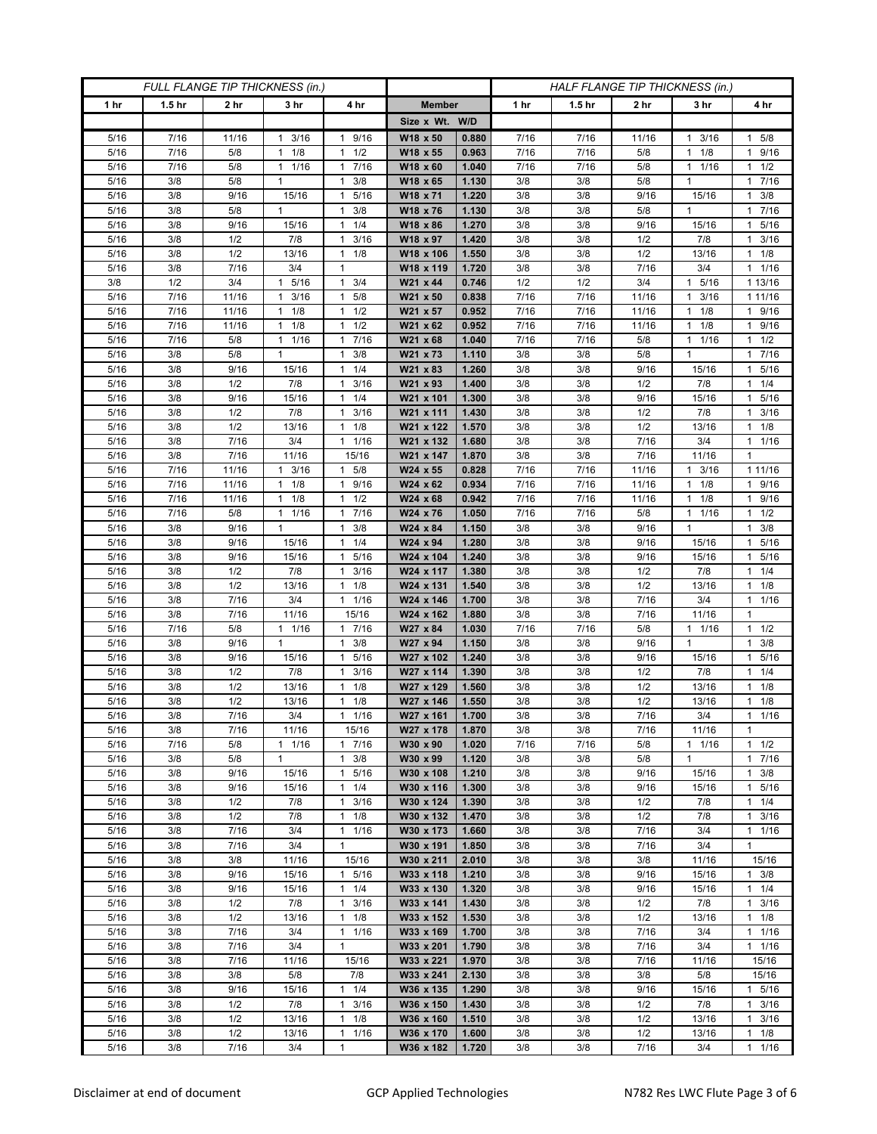| FULL FLANGE TIP THICKNESS (in.) |                   |                 |                      |                                             | HALF FLANGE TIP THICKNESS (in.) |                |             |                   |             |                       |                                |
|---------------------------------|-------------------|-----------------|----------------------|---------------------------------------------|---------------------------------|----------------|-------------|-------------------|-------------|-----------------------|--------------------------------|
| 1 hr                            | 1.5 <sub>hr</sub> | 2 <sub>hr</sub> | 3 <sub>hr</sub>      | 4 hr                                        | <b>Member</b>                   |                | 1 hr        | 1.5 <sub>hr</sub> | 2 hr        | 3 hr                  | 4 hr                           |
|                                 |                   |                 |                      |                                             | Size x Wt. W/D                  |                |             |                   |             |                       |                                |
| 5/16                            | 7/16              | 11/16           | 3/16<br>1            | 9/16<br>1                                   | W18 x 50                        | 0.880          | 7/16        | 7/16              | 11/16       | 3/16<br>1             | 1 5/8                          |
| 5/16                            | 7/16              | 5/8             | $1 \t1/8$            | 1/2<br>$\mathbf{1}$                         | W18 x 55                        | 0.963          | 7/16        | 7/16              | 5/8         | 1/8<br>$\mathbf{1}$   | 1 9/16                         |
| 5/16                            | 7/16              | 5/8             | 1 1/16               | 7/16<br>1                                   | W18 x 60                        | 1.040          | 7/16        | 7/16              | 5/8         | 11/16                 | $1 \t1/2$                      |
| 5/16                            | 3/8               | 5/8             | 1                    | 3/8<br>1                                    | W18 x 65                        | 1.130          | 3/8         | 3/8               | 5/8         | 1                     | 1 7/16                         |
| 5/16                            | 3/8               | 9/16            | 15/16                | 5/16<br>1                                   | W18 x 71                        | 1.220          | 3/8         | 3/8               | 9/16        | 15/16                 | 3/8<br>1                       |
| 5/16<br>$5/16$                  | 3/8<br>3/8        | 5/8             | 1<br>15/16           | 1<br>3/8<br>1/4<br>1                        | W18 x 76                        | 1.130<br>1.270 | 3/8<br>3/8  | 3/8<br>3/8        | 5/8<br>9/16 | $\mathbf{1}$<br>15/16 | 1 7/16<br>1 5/16               |
| 5/16                            | 3/8               | 9/16<br>1/2     | 7/8                  | 3/16<br>1                                   | W18 x 86<br>W18 x 97            | 1.420          | 3/8         | 3/8               | 1/2         | 7/8                   | 3/16<br>1                      |
| 5/16                            | 3/8               | 1/2             | 13/16                | $\mathbf{1}$<br>1/8                         | W18 x 106                       | 1.550          | 3/8         | 3/8               | 1/2         | 13/16                 | $1 \t1/8$                      |
| 5/16                            | 3/8               | 7/16            | 3/4                  | $\mathbf{1}$                                | W18 x 119                       | 1.720          | 3/8         | 3/8               | 7/16        | 3/4                   | 11/16                          |
| 3/8                             | 1/2               | 3/4             | 5/16<br>$\mathbf{1}$ | $\mathbf{1}$<br>3/4                         | W21 x 44                        | 0.746          | 1/2         | 1/2               | 3/4         | 1 5/16                | 1 13/16                        |
| 5/16                            | 7/16              | 11/16           | 3/16<br>1            | 5/8<br>1                                    | W21 x 50                        | 0.838          | 7/16        | 7/16              | 11/16       | 3/16<br>1             | 1 11/16                        |
| 5/16                            | 7/16              | 11/16           | 1/8<br>$\mathbf{1}$  | 1/2<br>$\mathbf{1}$                         | W21 x 57                        | 0.952          | 7/16        | 7/16              | 11/16       | 1/8<br>1              | 1 9/16                         |
| 5/16                            | 7/16              | 11/16           | 1/8<br>$\mathbf{1}$  | 1/2<br>$\mathbf{1}$                         | W21 x 62                        | 0.952          | 7/16        | 7/16              | 11/16       | 1/8<br>$\mathbf{1}$   | 9/16<br>1                      |
| 5/16                            | 7/16              | 5/8             | $\mathbf{1}$<br>1/16 | 7/16<br>1                                   | W21 x 68                        | 1.040          | 7/16        | 7/16              | 5/8         | 1/16<br>1             | $1 \t1/2$                      |
| 5/16                            | 3/8               | 5/8             | $\mathbf{1}$         | 3/8<br>$\mathbf{1}$                         | W21 x 73                        | 1.110          | 3/8         | 3/8               | 5/8         | $\mathbf{1}$          | 17/16                          |
| 5/16                            | 3/8               | 9/16            | 15/16                | 1/4<br>$\mathbf{1}$                         | W21 x 83                        | 1.260          | 3/8         | 3/8               | 9/16        | 15/16                 | 1 5/16                         |
| 5/16                            | 3/8               | 1/2             | 7/8                  | 3/16<br>$\mathbf{1}$                        | W21 x 93                        | 1.400          | 3/8         | 3/8               | 1/2         | 7/8                   | $1 \t1/4$                      |
| 5/16<br>5/16                    | 3/8<br>3/8        | 9/16<br>1/2     | 15/16<br>7/8         | 1/4<br>1<br>3/16<br>$\mathbf{1}$            | W21 x 101<br>W21 x 111          | 1.300<br>1.430 | 3/8<br>3/8  | 3/8<br>3/8        | 9/16<br>1/2 | 15/16<br>7/8          | 1 5/16<br>3/16<br>$\mathbf{1}$ |
| 5/16                            | 3/8               | 1/2             | 13/16                | 1/8<br>$\mathbf{1}$                         | W21 x 122                       | 1.570          | 3/8         | 3/8               | 1/2         | 13/16                 | $1 \t1/8$                      |
| 5/16                            | 3/8               | 7/16            | 3/4                  | 1/16<br>1                                   | W21 x 132                       | 1.680          | 3/8         | 3/8               | 7/16        | 3/4                   | $1 \t1/16$                     |
| 5/16                            | 3/8               | 7/16            | 11/16                | 15/16                                       | W21 x 147                       | 1.870          | 3/8         | 3/8               | 7/16        | 11/16                 | 1                              |
| 5/16                            | 7/16              | 11/16           | $1 \t3/16$           | 5/8<br>$\mathbf{1}$                         | W24 x 55                        | 0.828          | 7/16        | 7/16              | 11/16       | $1 \t3/16$            | 1 1 1 / 16                     |
| 5/16                            | 7/16              | 11/16           | $1 \t1/8$            | 9/16<br>1                                   | W24 x 62                        | 0.934          | 7/16        | 7/16              | 11/16       | $1 \t1/8$             | 1 9/16                         |
| 5/16                            | 7/16              | 11/16           | 1/8<br>1             | 1/2<br>1                                    | W24 x 68                        | 0.942          | 7/16        | 7/16              | 11/16       | 1/8<br>1              | 1 9/16                         |
| 5/16                            | 7/16              | 5/8             | 11/16                | 7/16<br>$\mathbf{1}$                        | W24 x 76                        | 1.050          | 7/16        | 7/16              | 5/8         | 1/16<br>$\mathbf{1}$  | $1 \t1/2$                      |
| 5/16                            | 3/8               | 9/16            | $\mathbf{1}$         | 3/8<br>1                                    | W24 x 84                        | 1.150          | 3/8         | 3/8               | 9/16        | $\mathbf{1}$          | $1 \t3/8$                      |
| 5/16                            | 3/8               | 9/16            | 15/16                | 1/4<br>$\mathbf{1}$                         | W24 x 94                        | 1.280          | 3/8         | 3/8               | 9/16        | 15/16                 | 5/16<br>1.                     |
| 5/16                            | 3/8               | 9/16            | 15/16                | 5/16<br>1                                   | W24 x 104                       | 1.240          | 3/8         | 3/8               | 9/16        | 15/16                 | 5/16<br>1.                     |
| 5/16<br>$5/16$                  | 3/8<br>3/8        | 1/2             | 7/8                  | 3/16<br>$\mathbf{1}$<br>1/8<br>$\mathbf{1}$ | W24 x 117                       | 1.380          | 3/8         | 3/8               | 1/2         | 7/8                   | $1 \t1/4$                      |
| 5/16                            | 3/8               | 1/2<br>7/16     | 13/16<br>3/4         | 1/16<br>1                                   | W24 x 131<br>W24 x 146          | 1.540<br>1.700 | 3/8<br>3/8  | 3/8<br>3/8        | 1/2<br>7/16 | 13/16<br>3/4          | $1 \t1/8$<br>11/16             |
| 5/16                            | 3/8               | 7/16            | 11/16                | 15/16                                       | W24 x 162                       | 1.880          | 3/8         | 3/8               | 7/16        | 11/16                 | $\mathbf{1}$                   |
| $5/16$                          | 7/16              | $5/8$           | 11/16                | 7/16<br>$\mathbf{1}$                        | W27 x 84                        | 1.030          | 7/16        | 7/16              | 5/8         | 1 1/16                | $1 \t1/2$                      |
| 5/16                            | 3/8               | 9/16            | $\mathbf{1}$         | $\mathbf{1}$<br>3/8                         | W27 x 94                        | 1.150          | 3/8         | 3/8               | 9/16        | $\mathbf{1}$          | $1 \t3/8$                      |
| 5/16                            | 3/8               | 9/16            | 15/16                | 5/16<br>1                                   | W27 x 102                       | 1.240          | 3/8         | 3/8               | 9/16        | 15/16                 | 5/16<br>$\mathbf{1}$           |
| $5/16$                          | 3/8               | 1/2             | 7/8                  | 3/16<br>1                                   | W27 x 114                       | 1.390          | 3/8         | 3/8               | 1/2         | 7/8                   | 1/4<br>1.                      |
| 5/16                            | 3/8               | 1/2             | 13/16                | 1/8<br>$\mathbf{1}$                         | W27 x 129                       | 1.560          | 3/8         | 3/8               | 1/2         | 13/16                 | $1 \t1/8$                      |
| 5/16                            | 3/8               | 1/2             | 13/16                | 1/8<br>1                                    | W27 x 146                       | 1.550          | 3/8         | 3/8               | 1/2         | 13/16                 | $1 \t1/8$                      |
| 5/16                            | 3/8               | 7/16            | $3/4$                | 1/16<br>$\mathbf{1}$                        | W27 x 161                       | 1.700          | 3/8         | 3/8               | 7/16        | 3/4                   | 11/16                          |
| 5/16                            | 3/8               | 7/16            | 11/16                | 15/16                                       | W27 x 178<br>W30 x 90           | 1.870<br>1.020 | 3/8         | 3/8               | 7/16        | 11/16                 | $\mathbf{1}$                   |
| 5/16<br>5/16                    | 7/16<br>3/8       | 5/8<br>5/8      | $1 \t1/16$<br>1      | 17/16<br>3/8<br>1                           | W30 x 99                        | 1.120          | 7/16<br>3/8 | 7/16<br>3/8       | 5/8<br>5/8  | $1 \t1/16$<br>1       | $1 \t1/2$<br>1 7/16            |
| 5/16                            | 3/8               | 9/16            | 15/16                | 5/16<br>$\mathbf{1}$                        | W30 x 108                       | 1.210          | 3/8         | 3/8               | 9/16        | 15/16                 | $1 \t3/8$                      |
| 5/16                            | 3/8               | 9/16            | 15/16                | 1/4<br>$\mathbf{1}$                         | W30 x 116                       | 1.300          | 3/8         | 3/8               | 9/16        | 15/16                 | 1 5/16                         |
| 5/16                            | 3/8               | 1/2             | 7/8                  | $\mathbf{1}$<br>3/16                        | W30 x 124                       | 1.390          | 3/8         | 3/8               | 1/2         | 7/8                   | $1 \t1/4$                      |
| 5/16                            | 3/8               | 1/2             | 7/8                  | 1/8<br>1                                    | W30 x 132                       | 1.470          | 3/8         | 3/8               | 1/2         | 7/8                   | 1<br>3/16                      |
| 5/16                            | 3/8               | 7/16            | 3/4                  | 1/16<br>$\mathbf{1}$                        | W30 x 173                       | 1.660          | 3/8         | 3/8               | 7/16        | 3/4                   | 11/16                          |
| 5/16                            | 3/8               | 7/16            | 3/4                  | 1                                           | W30 x 191                       | 1.850          | 3/8         | 3/8               | 7/16        | 3/4                   | $\mathbf{1}$                   |
| 5/16                            | 3/8               | 3/8             | 11/16                | 15/16                                       | W30 x 211                       | 2.010          | 3/8         | 3/8               | 3/8         | 11/16                 | 15/16                          |
| 5/16                            | 3/8               | 9/16            | 15/16                | 5/16<br>$\mathbf{1}$                        | W33 x 118                       | 1.210          | 3/8         | 3/8               | 9/16        | 15/16                 | $1 \t3/8$                      |
| 5/16                            | 3/8               | 9/16            | 15/16                | 1/4<br>$\mathbf{1}$                         | W33 x 130                       | 1.320          | 3/8         | 3/8               | 9/16        | 15/16                 | $1 \t1/4$                      |
| 5/16<br>5/16                    | 3/8<br>3/8        | 1/2<br>1/2      | 7/8                  | 3/16<br>$\mathbf{1}$<br>1/8<br>$\mathbf{1}$ | W33 x 141<br>W33 x 152          | 1.430          | 3/8         | 3/8<br>3/8        | 1/2<br>1/2  | 7/8                   | $1 \t3/16$<br>$1 \t1/8$        |
| 5/16                            | 3/8               | 7/16            | 13/16<br>3/4         | 1/16<br>$\mathbf{1}$                        | W33 x 169                       | 1.530<br>1.700 | 3/8<br>3/8  | 3/8               | 7/16        | 13/16<br>3/4          | 11/16                          |
| 5/16                            | 3/8               | 7/16            | 3/4                  | 1                                           | W33 x 201                       | 1.790          | 3/8         | 3/8               | 7/16        | 3/4                   | $1 \t1/16$                     |
| 5/16                            | 3/8               | 7/16            | 11/16                | 15/16                                       | W33 x 221                       | 1.970          | 3/8         | 3/8               | 7/16        | 11/16                 | 15/16                          |
| 5/16                            | 3/8               | 3/8             | 5/8                  | 7/8                                         | W33 x 241                       | 2.130          | 3/8         | 3/8               | 3/8         | 5/8                   | 15/16                          |
| 5/16                            | 3/8               | 9/16            | 15/16                | $1 \t1/4$                                   | W36 x 135                       | 1.290          | 3/8         | 3/8               | 9/16        | 15/16                 | 1 5/16                         |
| 5/16                            | 3/8               | 1/2             | 7/8                  | 3/16<br>$\mathbf{1}$                        | W36 x 150                       | 1.430          | 3/8         | 3/8               | 1/2         | 7/8                   | $1 \t3/16$                     |
| 5/16                            | 3/8               | 1/2             | 13/16                | 1<br>1/8                                    | W36 x 160                       | 1.510          | 3/8         | 3/8               | 1/2         | 13/16                 | $1 \t3/16$                     |
| 5/16                            | 3/8               | 1/2             | 13/16                | 1/16<br>1                                   | W36 x 170                       | 1.600          | 3/8         | 3/8               | 1/2         | 13/16                 | $1 \t1/8$                      |
| $5/16$                          | 3/8               | 7/16            | 3/4                  | 1                                           | W36 x 182                       | 1.720          | 3/8         | 3/8               | 7/16        | 3/4                   | 11/16                          |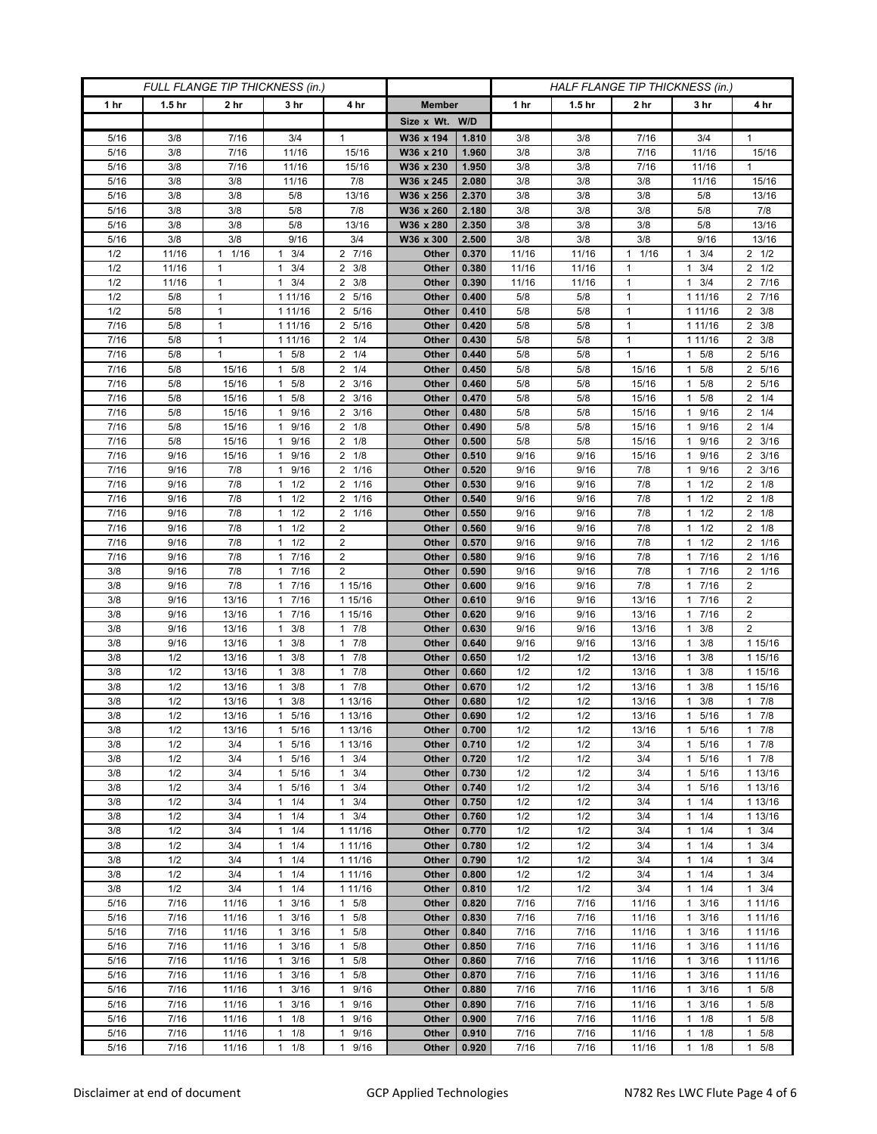| FULL FLANGE TIP THICKNESS (in.) |                   |                              |                                   |                                  |                | HALF FLANGE TIP THICKNESS (in.) |              |                   |                              |                        |                    |
|---------------------------------|-------------------|------------------------------|-----------------------------------|----------------------------------|----------------|---------------------------------|--------------|-------------------|------------------------------|------------------------|--------------------|
| 1 hr                            | 1.5 <sub>hr</sub> | 2 <sub>hr</sub>              | 3 <sub>hr</sub>                   | 4 hr                             | <b>Member</b>  |                                 | 1 hr         | 1.5 <sub>hr</sub> | 2 <sub>hr</sub>              | 3 hr                   | 4 hr               |
|                                 |                   |                              |                                   |                                  | Size x Wt. W/D |                                 |              |                   |                              |                        |                    |
| 5/16                            | 3/8               | 7/16                         | 3/4                               | 1                                | W36 x 194      | 1.810                           | 3/8          | 3/8               | 7/16                         | 3/4                    | 1                  |
| 5/16                            | 3/8               | 7/16                         | 11/16                             | 15/16                            | W36 x 210      | 1.960                           | 3/8          | 3/8               | 7/16                         | 11/16                  | 15/16              |
| 5/16                            | 3/8               | 7/16                         | 11/16                             | 15/16                            | W36 x 230      | 1.950                           | 3/8          | 3/8               | 7/16                         | 11/16                  | $\mathbf{1}$       |
| 5/16                            | 3/8               | 3/8                          | 11/16                             | 7/8                              | W36 x 245      | 2.080                           | 3/8          | 3/8               | 3/8                          | 11/16                  | 15/16              |
| 5/16                            | 3/8               | 3/8                          | 5/8                               | 13/16                            | W36 x 256      | 2.370                           | 3/8          | 3/8               | 3/8                          | 5/8                    | 13/16              |
| 5/16                            | 3/8               | 3/8                          | 5/8                               | 7/8                              | W36 x 260      | 2.180                           | 3/8          | 3/8               | 3/8                          | 5/8                    | 7/8                |
| 5/16                            | 3/8               | 3/8                          | 5/8                               | 13/16                            | W36 x 280      | 2.350                           | 3/8          | 3/8               | 3/8                          | 5/8                    | 13/16              |
| 5/16                            | 3/8               | 3/8                          | 9/16                              | 3/4                              | W36 x 300      | 2.500                           | 3/8          | 3/8               | 3/8                          | 9/16                   | 13/16              |
| 1/2                             | 11/16             | 1/16<br>1                    | 3/4<br>1                          | 2 7/16                           | Other          | 0.370                           | 11/16        | 11/16             | 1/16<br>$\mathbf{1}$         | 3/4<br>1               | $2 \frac{1}{2}$    |
| 1/2                             | 11/16             | $\mathbf{1}$                 | 3/4<br>$\mathbf{1}$               | $2 \frac{3}{8}$                  | Other          | 0.380                           | 11/16        | 11/16             | $\mathbf{1}$                 | 3/4<br>1               | $2 \frac{1}{2}$    |
| 1/2<br>1/2                      | 11/16<br>5/8      | $\mathbf{1}$<br>$\mathbf{1}$ | 3/4<br>1                          | 3/8<br>2<br>5/16<br>2            | Other          | 0.390<br>0.400                  | 11/16        | 11/16             | $\mathbf{1}$<br>$\mathbf{1}$ | 3/4<br>1<br>1 11/16    | 2 7/16<br>2 7/16   |
| 1/2                             | 5/8               | 1                            | 1 11/16<br>1 11/16                | 5/16<br>2                        | Other<br>Other | 0.410                           | 5/8<br>5/8   | 5/8<br>5/8        | $\mathbf{1}$                 | 1 1 1 / 16             | $2 \frac{3}{8}$    |
| 7/16                            | 5/8               | $\mathbf{1}$                 | 1 11/16                           | 5/16<br>2                        | Other          | 0.420                           | 5/8          | 5/8               | $\mathbf{1}$                 | 1 1 1 / 1 6            | $2 \frac{3}{8}$    |
| 7/16                            | 5/8               | $\mathbf{1}$                 | 1 11/16                           | 1/4<br>2                         | Other          | 0.430                           | 5/8          | 5/8               | $\mathbf{1}$                 | 1 11/16                | $2 \frac{3}{8}$    |
| $\frac{1}{7}{16}$               | 5/8               | 1                            | 5/8<br>$\mathbf{1}$               | $\overline{2}$<br>1/4            | Other          | 0.440                           | 5/8          | 5/8               | $\mathbf{1}$                 | 5/8<br>1               | 2 5/16             |
| 7/16                            | 5/8               | 15/16                        | 5/8<br>$\mathbf{1}$               | $\overline{2}$<br>1/4            | Other          | 0.450                           | 5/8          | 5/8               | 15/16                        | 5/8<br>1               | 2 5/16             |
| 7/16                            | 5/8               | 15/16                        | $1 \t5/8$                         | $2 \frac{3}{16}$                 | Other          | 0.460                           | 5/8          | 5/8               | 15/16                        | 5/8<br>$\mathbf{1}$    | 2 5/16             |
| 7/16                            | 5/8               | 15/16                        | 5/8<br>1                          | $2 \frac{3}{16}$                 | Other          | 0.470                           | 5/8          | 5/8               | 15/16                        | 5/8<br>1               | $2 \t1/4$          |
| 7/16                            | 5/8               | 15/16                        | 9/16<br>1                         | 3/16<br>2                        | Other          | 0.480                           | 5/8          | 5/8               | 15/16                        | 9/16<br>1              | $2 \t1/4$          |
| 7/16                            | 5/8               | 15/16                        | 1 9/16                            | $2 \t1/8$                        | Other          | 0.490                           | 5/8          | 5/8               | 15/16                        | 9/16<br>1              | $2 \t1/4$          |
| 7/16                            | 5/8               | 15/16                        | 1 9/16                            | $2 \t1/8$                        | Other          | 0.500                           | 5/8          | 5/8               | 15/16                        | 1 9/16                 | 2 3/16             |
| 7/16                            | 9/16              | 15/16                        | 9/16<br>1                         | 2<br>1/8                         | Other          | 0.510                           | 9/16         | 9/16              | 15/16                        | 9/16                   | $2 \frac{3}{16}$   |
| 7/16                            | 9/16              | 7/8                          | 9/16<br>$\mathbf{1}$              | $2 \t1/16$                       | Other          | 0.520                           | 9/16         | 9/16              | 7/8                          | 9/16<br>1              | $2 \frac{3}{16}$   |
| 7/16                            | 9/16              | 7/8                          | $1 \t1/2$                         | 1/16<br>2                        | Other          | 0.530                           | 9/16         | 9/16              | 7/8                          | $1 \t1/2$              | $2 \t1/8$          |
| 7/16                            | 9/16              | 7/8                          | 1/2<br>1                          | 1/16<br>2                        | Other          | 0.540                           | 9/16         | 9/16              | 7/8                          | 1/2                    | $2 \t1/8$          |
| 7/16                            | 9/16              | 7/8                          | 1/2<br>$\mathbf{1}$               | 1/16<br>$\overline{2}$           | <b>Other</b>   | 0.550                           | 9/16         | 9/16              | 7/8                          | 1/2<br>1               | $2 \t1/8$          |
| 7/16                            | 9/16              | 7/8                          | $1 \t1/2$                         | $\overline{2}$                   | Other          | 0.560                           | 9/16         | 9/16              | 7/8                          | $1 \t1/2$              | $2 \t1/8$          |
| 7/16                            | 9/16              | 7/8                          | 1/2<br>1                          | 2                                | Other          | 0.570                           | 9/16         | 9/16              | 7/8                          | 1/2<br>1               | 2 1/16             |
| 7/16<br>3/8                     | 9/16<br>9/16      | 7/8<br>7/8                   | 7/16<br>1<br>1 7/16               | $\overline{2}$<br>$\overline{2}$ | Other<br>Other | 0.580<br>0.590                  | 9/16<br>9/16 | 9/16<br>9/16      | 7/8<br>7/8                   | 7/16<br>1<br>1 7/16    | 2 1/16<br>2 1/16   |
| 3/8                             | 9/16              | 7/8                          | 7/16<br>1                         | 1 15/16                          | Other          | 0.600                           | 9/16         | 9/16              | 7/8                          | 7/16<br>1              | 2                  |
| 3/8                             | 9/16              | 13/16                        | 7/16<br>1                         | 1 15/16                          | Other          | 0.610                           | 9/16         | 9/16              | 13/16                        | 7/16<br>1              | $\boldsymbol{2}$   |
| 3/8                             | 9/16              | 13/16                        | 7/16<br>$\mathbf{1}$              | 1 15/16                          | Other          | 0.620                           | 9/16         | 9/16              | 13/16                        | 7/16                   | $\boldsymbol{2}$   |
| 3/8                             | 9/16              | 13/16                        | 3/8<br>1                          | 7/8<br>$\mathbf{1}$              | Other          | 0.630                           | 9/16         | 9/16              | 13/16                        | 3/8<br>1               | $\overline{2}$     |
| 3/8                             | 9/16              | 13/16                        | 3/8<br>$\mathbf{1}$               | 7/8<br>1                         | Other          | 0.640                           | 9/16         | 9/16              | 13/16                        | 3/8<br>1               | 1 15/16            |
| 3/8                             | 1/2               | 13/16                        | 3/8<br>1                          | 7/8<br>1                         | Other          | 0.650                           | 1/2          | 1/2               | 13/16                        | 3/8                    | 1 15/16            |
| 3/8                             | 1/2               | 13/16                        | 3/8<br>1                          | 7/8<br>$\mathbf{1}$              | Other          | 0.660                           | 1/2          | 1/2               | 13/16                        | 3/8<br>1               | 1 15/16            |
| 3/8                             | 1/2               | 13/16                        | 3/8<br>$\mathbf{1}$               | 7/8<br>1                         | Other          | 0.670                           | 1/2          | 1/2               | 13/16                        | 3/8<br>1               | 1 15/16            |
| 3/8                             | 1/2               | 13/16                        | 3/8<br>1                          | 1 13/16                          | Other          | 0.680                           | 1/2          | 1/2               | 13/16                        | 3/8                    | 17/8               |
| 3/8                             | 1/2               | 13/16                        | 5/16<br>$\mathbf{1}$              | 1 13/16                          | Other          | 0.690                           | 1/2          | 1/2               | 13/16                        | 5/16<br>$\mathbf{1}$   | 17/8               |
| 3/8                             | 1/2               | 13/16                        | 1 5/16                            | 1 13/16                          | Other          | 0.700                           | 1/2          | 1/2               | 13/16                        | 5/16<br>$\mathbf{1}$   | $1 \t7/8$          |
| 3/8                             | 1/2               | 3/4                          | $\mathbf{1}$<br>5/16              | 1 13/16                          | Other          | 0.710                           | 1/2          | 1/2               | 3/4                          | 5/16<br>$\mathbf{1}$   | 17/8               |
| 3/8                             | 1/2               | 3/4                          | 5/16<br>1                         | 3/4<br>$\mathbf{1}$              | Other          | 0.720                           | 1/2          | 1/2               | 3/4                          | 5/16<br>1              | 17/8               |
| 3/8                             | 1/2               | 3/4                          | 5/16<br>1                         | 3/4<br>$\mathbf{1}$              | Other          | 0.730                           | 1/2          | 1/2               | 3/4                          | 5/16                   | 1 13/16            |
| 3/8<br>3/8                      | 1/2<br>1/2        | 3/4<br>3/4                   | $\mathbf{1}$<br>5/16<br>$1 \t1/4$ | 3/4<br>$\mathbf{1}$<br>3/4       | Other<br>Other | 0.740<br>0.750                  | 1/2<br>1/2   | 1/2<br>1/2        | 3/4<br>3/4                   | 5/16<br>1<br>$1 \t1/4$ | 1 13/16<br>1 13/16 |
| 3/8                             | 1/2               | 3/4                          | 1/4<br>1                          | 1<br>3/4<br>$\mathbf{1}$         | Other          | 0.760                           | 1/2          | 1/2               | 3/4                          | 1/4                    | 1 13/16            |
| 3/8                             | 1/2               | 3/4                          | $1 \t1/4$                         | 1 11/16                          | Other          | 0.770                           | 1/2          | 1/2               | 3/4                          | 1/4<br>$\mathbf{1}$    | $1 \t3/4$          |
| 3/8                             | 1/2               | 3/4                          | $1 \t1/4$                         | 1 11/16                          | Other          | 0.780                           | 1/2          | 1/2               | 3/4                          | $1 \t1/4$              | $1 \t3/4$          |
| 3/8                             | 1/2               | 3/4                          | 1/4<br>$\mathbf{1}$               | 1 11/16                          | Other          | 0.790                           | 1/2          | 1/2               | 3/4                          | 1/4<br>1               | $1 \t3/4$          |
| 3/8                             | 1/2               | 3/4                          | $1 \t1/4$                         | 1 11/16                          | Other          | 0.800                           | 1/2          | 1/2               | 3/4                          | 1/4<br>$\mathbf{1}$    | $1 \t3/4$          |
| 3/8                             | 1/2               | 3/4                          | $1 \t1/4$                         | 1 11/16                          | Other          | 0.810                           | 1/2          | 1/2               | 3/4                          | $1 \t1/4$              | $1 \t3/4$          |
| 5/16                            | 7/16              | 11/16                        | 3/16<br>$\mathbf{1}$              | 5/8<br>1                         | Other          | 0.820                           | 7/16         | 7/16              | 11/16                        | 3/16<br>1              | 1 1 1 / 16         |
| 5/16                            | 7/16              | 11/16                        | 3/16<br>$\mathbf{1}$              | 5/8<br>$\mathbf{1}$              | Other          | 0.830                           | 7/16         | 7/16              | 11/16                        | 3/16<br>1              | 1 1 1 / 16         |
| 5/16                            | 7/16              | 11/16                        | $\mathbf{1}$<br>3/16              | 5/8<br>$\mathbf{1}$              | Other          | 0.840                           | 7/16         | 7/16              | 11/16                        | 3/16<br>$\mathbf{1}$   | 1 1 1 / 16         |
| 5/16                            | 7/16              | 11/16                        | $1 \t3/16$                        | 5/8<br>1                         | Other          | 0.850                           | 7/16         | 7/16              | 11/16                        | 3/16<br>$\mathbf{1}$   | 1 1 1 / 1 6        |
| 5/16                            | 7/16              | 11/16                        | 3/16<br>1                         | 5/8<br>1                         | Other          | 0.860                           | 7/16         | 7/16              | 11/16                        | 3/16<br>1              | 1 1 1/16           |
| 5/16                            | 7/16              | 11/16                        | 3/16<br>$\mathbf{1}$              | 5/8<br>$\mathbf{1}$              | Other          | 0.870                           | 7/16         | 7/16              | 11/16                        | 3/16<br>1              | 1 11/16            |
| 5/16                            | 7/16              | 11/16                        | 3/16<br>1                         | 9/16<br>$\mathbf{1}$             | Other          | 0.880                           | 7/16         | 7/16              | 11/16                        | 3/16<br>1              | 1 5/8              |
| 5/16                            | 7/16              | 11/16                        | 3/16<br>$\mathbf{1}$              | 9/16<br>$\mathbf{1}$             | Other          | 0.890                           | 7/16         | 7/16              | 11/16                        | 3/16<br>1              | 1 5/8              |
| 5/16                            | 7/16              | 11/16                        | $\mathbf{1}$<br>1/8               | 9/16<br>$\mathbf{1}$             | Other          | 0.900                           | 7/16         | 7/16              | 11/16                        | 1/8<br>1               | $1 \t5/8$          |
| 5/16                            | 7/16              | 11/16                        | 1/8<br>$\mathbf{1}$               | 9/16<br>1                        | Other          | 0.910                           | 7/16         | 7/16              | 11/16                        | 1/8<br>1               | $1 \t5/8$          |
| 5/16                            | 7/16              | 11/16                        | 1/8<br>$\mathbf{1}$               | 9/16<br>$\mathbf{1}$             | Other          | 0.920                           | 7/16         | 7/16              | 11/16                        | $\mathbf{1}$<br>1/8    | 1 5/8              |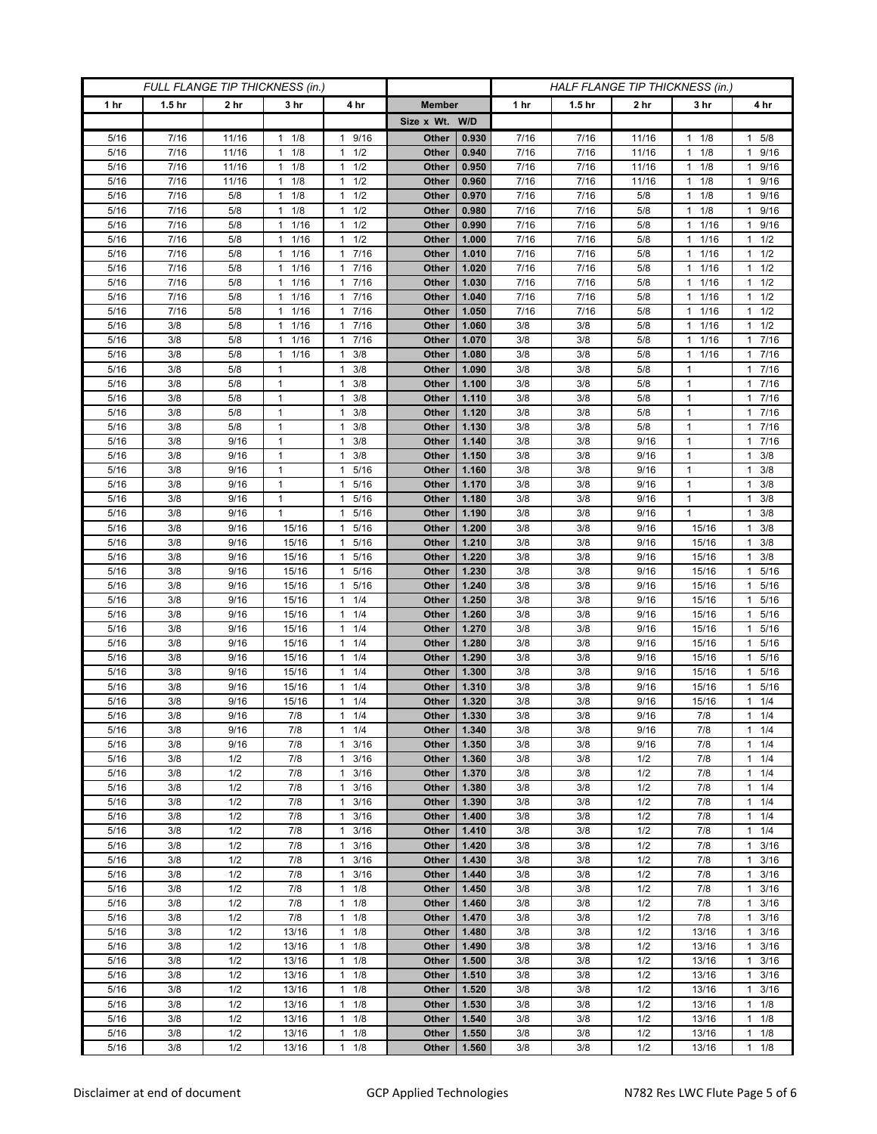| FULL FLANGE TIP THICKNESS (in.) |                   |                 |                              |                                     | HALF FLANGE TIP THICKNESS (in.) |                |            |                   |                 |                   |                        |
|---------------------------------|-------------------|-----------------|------------------------------|-------------------------------------|---------------------------------|----------------|------------|-------------------|-----------------|-------------------|------------------------|
| 1 hr                            | 1.5 <sub>hr</sub> | 2 <sub>hr</sub> | 3 <sub>hr</sub>              | 4 hr                                | <b>Member</b>                   |                | 1 hr       | 1.5 <sub>hr</sub> | 2 <sub>hr</sub> | 3 hr              | 4 hr                   |
|                                 |                   |                 |                              |                                     | Size x Wt. W/D                  |                |            |                   |                 |                   |                        |
| 5/16                            | 7/16              | 11/16           | 1/8<br>1                     | 9/16<br>1                           | Other                           | 0.930          | 7/16       | 7/16              | 11/16           | 1/8<br>1          | 1 5/8                  |
| 5/16                            | 7/16              | 11/16           | 1/8<br>$\mathbf{1}$          | 1/2<br>$\mathbf{1}$                 | Other                           | 0.940          | 7/16       | 7/16              | 11/16           | 1/8<br>1          | 1 9/16                 |
| 5/16                            | 7/16              | 11/16           | $1 \t1/8$                    | 1/2<br>$\mathbf{1}$                 | Other                           | 0.950          | 7/16       | 7/16              | 11/16           | 1/8<br>1          | 1 9/16                 |
| 5/16                            | 7/16              | 11/16           | 1/8<br>1                     | 1/2<br>$\mathbf{1}$                 | Other                           | 0.960          | 7/16       | 7/16              | 11/16           | 1/8<br>1          | 9/16<br>1              |
| 5/16                            | 7/16              | 5/8             | 1/8<br>1                     | 1/2<br>$\mathbf{1}$                 | Other                           | 0.970          | 7/16       | 7/16              | 5/8             | 1/8<br>1          | 9/16<br>$\mathbf{1}$   |
| 5/16                            | 7/16              | 5/8             | 1/8<br>$\mathbf{1}$          | 1/2<br>$\mathbf{1}$                 | Other                           | 0.980          | 7/16       | 7/16              | 5/8             | 1/8<br>1          | 9/16<br>$\mathbf{1}$   |
| 5/16                            | 7/16              | 5/8             | 1/16<br>$\mathbf{1}$         | 1/2<br>1                            | Other                           | 0.990          | 7/16       | 7/16              | 5/8             | 1/16<br>1         | 9/16<br>1              |
| 5/16                            | 7/16              | 5/8             | 1/16<br>1                    | 1/2<br>$\mathbf{1}$                 | Other                           | 1.000          | 7/16       | 7/16              | 5/8             | 1/16<br>1         | $1 \t1/2$              |
| 5/16                            | 7/16              | 5/8             | 1/16<br>$\mathbf{1}$         | 7/16<br>$\mathbf{1}$                | Other                           | 1.010          | 7/16       | 7/16              | 5/8             | 1/16              | $1 \t1/2$              |
| 5/16                            | 7/16              | 5/8             | 1/16<br>$\mathbf{1}$         | 7/16<br>$\mathbf{1}$                | Other                           | 1.020          | 7/16       | 7/16              | 5/8             | 1/16<br>1         | 1/2<br>$\mathbf{1}$    |
| 5/16                            | 7/16              | 5/8             | 1/16<br>$\mathbf{1}$         | 7/16<br>$\mathbf{1}$                | Other                           | 1.030          | 7/16       | 7/16              | 5/8             | 1/16<br>1         | $1 \t1/2$              |
| 5/16                            | 7/16              | 5/8             | 1/16<br>1                    | 7/16<br>$\mathbf{1}$                | Other                           | 1.040          | 7/16       | 7/16              | 5/8             | 1/16              | $1 \t1/2$              |
| 5/16                            | 7/16              | 5/8             | 1/16<br>$\mathbf{1}$         | 7/16<br>1                           | Other                           | 1.050          | 7/16       | 7/16              | 5/8             | 1/16<br>1         | 1/2<br>$\mathbf{1}$    |
| 5/16                            | 3/8               | 5/8             | 1/16<br>$\mathbf{1}$         | 7/16<br>$\mathbf{1}$                | Other                           | 1.060          | 3/8        | 3/8               | 5/8             | 1/16<br>1         | $1 \t1/2$              |
| 5/16                            | 3/8               | 5/8             | 1/16<br>1                    | 7/16<br>$\mathbf{1}$                | Other                           | 1.070          | 3/8        | 3/8               | 5/8             | 1/16              | 7/16<br>$\mathbf{1}$   |
| 5/16                            | 3/8               | 5/8             | 1/16<br>1                    | 3/8<br>$\mathbf{1}$                 | Other                           | 1.080          | 3/8        | 3/8               | 5/8             | 1/16<br>1         | 7/16<br>$\mathbf{1}$   |
| 5/16                            | 3/8               | 5/8             | $\mathbf{1}$<br>$\mathbf{1}$ | 3/8<br>$\mathbf{1}$                 | Other                           | 1.090          | 3/8        | 3/8               | 5/8             | $\mathbf{1}$      | 1 7/16                 |
| 5/16                            | 3/8               | 5/8             | 1                            | 3/8<br>1                            | Other                           | 1.100          | 3/8        | 3/8               | 5/8             | 1                 | 17/16<br>17/16         |
| 5/16<br>5/16                    | 3/8<br>3/8        | 5/8<br>5/8      | $\mathbf{1}$                 | 3/8<br>1<br>3/8<br>1                | Other<br>Other                  | 1.110<br>1.120 | 3/8<br>3/8 | 3/8<br>3/8        | 5/8<br>5/8      | 1<br>$\mathbf{1}$ | 7/16<br>$\mathbf{1}$   |
| 5/16                            | 3/8               | 5/8             | $\mathbf{1}$                 | 3/8<br>$\mathbf{1}$                 | Other                           | 1.130          | 3/8        | 3/8               | 5/8             | $\mathbf{1}$      | 17/16                  |
| 5/16                            | 3/8               | 9/16            | $\mathbf{1}$                 | 3/8<br>1                            | Other                           | 1.140          | 3/8        | 3/8               | 9/16            | 1                 | 17/16                  |
| 5/16                            | 3/8               | 9/16            | $\mathbf{1}$                 | 3/8<br>1                            | Other                           | 1.150          | 3/8        | 3/8               | 9/16            | 1                 | 3/8<br>1               |
| 5/16                            | 3/8               | 9/16            | $\mathbf{1}$                 | 5/16<br>$\mathbf{1}$                | Other                           | 1.160          | 3/8        | 3/8               | 9/16            | $\mathbf{1}$      | $1 \t3/8$              |
| 5/16                            | 3/8               | 9/16            | 1                            | 5/16<br>1                           | Other                           | 1.170          | 3/8        | 3/8               | 9/16            | 1                 | $1 \t3/8$              |
| 5/16                            | 3/8               | 9/16            | $\mathbf{1}$                 | 5/16<br>1                           | Other                           | 1.180          | 3/8        | 3/8               | 9/16            | 1                 | 3/8<br>1               |
| 5/16                            | 3/8               | 9/16            | $\mathbf{1}$                 | 5/16<br>$\mathbf{1}$                | Other                           | 1.190          | 3/8        | 3/8               | 9/16            | $\mathbf{1}$      | $1 \t3/8$              |
| 5/16                            | 3/8               | 9/16            | 15/16                        | 5/16<br>$\mathbf{1}$                | Other                           | 1.200          | 3/8        | 3/8               | 9/16            | 15/16             | $1 \t3/8$              |
| 5/16                            | 3/8               | 9/16            | 15/16                        | 5/16<br>$\mathbf{1}$                | Other                           | 1.210          | 3/8        | 3/8               | 9/16            | 15/16             | 3/8<br>1               |
| 5/16                            | 3/8               | 9/16            | 15/16                        | 5/16<br>$\mathbf{1}$                | Other                           | 1.220          | 3/8        | 3/8               | 9/16            | 15/16             | $1 \t3/8$              |
| 5/16                            | 3/8               | 9/16            | 15/16                        | 5/16<br>$\mathbf{1}$                | Other                           | 1.230          | 3/8        | 3/8               | 9/16            | 15/16             | 1 5/16                 |
| 5/16                            | 3/8               | 9/16            | 15/16                        | 5/16<br>$\mathbf{1}$                | Other                           | 1.240          | 3/8        | 3/8               | 9/16            | 15/16             | 1 5/16                 |
| 5/16                            | 3/8               | 9/16            | 15/16                        | 1/4<br>$\mathbf{1}$                 | Other                           | 1.250          | 3/8        | 3/8               | 9/16            | 15/16             | 5/16<br>1              |
| 5/16                            | 3/8               | 9/16            | 15/16                        | 1/4<br>$\mathbf{1}$                 | Other                           | 1.260          | 3/8        | 3/8               | 9/16            | 15/16             | 5/16<br>1              |
| 5/16                            | 3/8               | 9/16            | 15/16                        | 1/4<br>$\mathbf{1}$                 | Other                           | 1.270          | 3/8        | 3/8               | 9/16            | 15/16             | 5/16<br>1              |
| 5/16                            | 3/8               | 9/16            | 15/16                        | 1/4<br>$\mathbf{1}$                 | Other                           | 1.280          | 3/8        | 3/8               | 9/16            | 15/16             | 5/16<br>1              |
| 5/16                            | 3/8               | 9/16            | 15/16                        | $\mathbf{1}$<br>1/4                 | Other                           | 1.290          | 3/8        | 3/8               | 9/16            | 15/16             | 5/16<br>1              |
| 5/16                            | 3/8               | 9/16            | 15/16                        | 1/4<br>$\mathbf{1}$                 | Other                           | 1.300          | 3/8        | 3/8               | 9/16            | 15/16             | 5/16<br>1              |
| 5/16                            | 3/8               | 9/16            | 15/16                        | 1/4<br>$\mathbf{1}$                 | Other                           | 1.310          | 3/8        | 3/8               | 9/16            | 15/16             | 1 5/16                 |
| 5/16                            | 3/8               | 9/16            | 15/16                        | 1/4<br>$\mathbf{1}$<br>$\mathbf{1}$ | Other                           | 1.320          | 3/8        | 3/8               | 9/16            | 15/16             | $1 \t1/4$              |
| 5/16<br>5/16                    | 3/8<br>3/8        | 9/16<br>9/16    | $7/8$<br>7/8                 | 1/4<br>1/4<br>$\mathbf{1}$          | Other<br>Other                  | 1.330<br>1.340 | 3/8<br>3/8 | 3/8<br>3/8        | 9/16<br>9/16    | 7/8<br>7/8        | $1 \t1/4$<br>$1 \t1/4$ |
| 5/16                            | 3/8               | 9/16            | 7/8                          | 3/16<br>$\mathbf{1}$                | Other                           | 1.350          | 3/8        | 3/8               | 9/16            | 7/8               | 11/4                   |
| 5/16                            | 3/8               | 1/2             | 7/8                          | 3/16<br>1                           | Other                           | 1.360          | 3/8        | 3/8               | 1/2             | 7/8               | $1 \t1/4$              |
| 5/16                            | 3/8               | 1/2             | 7/8                          | 3/16<br>1                           | Other                           | 1.370          | 3/8        | 3/8               | 1/2             | 7/8               | 11/4                   |
| 5/16                            | 3/8               | 1/2             | 7/8                          | 3/16<br>$\mathbf{1}$                | Other                           | 1.380          | 3/8        | 3/8               | 1/2             | 7/8               | $1 \t1/4$              |
| 5/16                            | 3/8               | 1/2             | 7/8                          | 3/16<br>1                           | Other                           | 1.390          | 3/8        | 3/8               | 1/2             | 7/8               | $1 \t1/4$              |
| 5/16                            | 3/8               | 1/2             | 7/8                          | 3/16<br>1                           | Other                           | 1.400          | 3/8        | 3/8               | 1/2             | 7/8               | $1 \t1/4$              |
| 5/16                            | 3/8               | 1/2             | 7/8                          | 3/16<br>$\mathbf{1}$                | Other                           | 1.410          | 3/8        | 3/8               | 1/2             | 7/8               | $1 \t1/4$              |
| 5/16                            | 3/8               | 1/2             | 7/8                          | 3/16<br>1                           | Other                           | 1.420          | 3/8        | 3/8               | 1/2             | 7/8               | $1 \t3/16$             |
| 5/16                            | 3/8               | 1/2             | 7/8                          | 3/16<br>$\mathbf{1}$                | Other                           | 1.430          | 3/8        | 3/8               | 1/2             | 7/8               | 3/16<br>$\mathbf{1}$   |
| 5/16                            | 3/8               | 1/2             | 7/8                          | 3/16<br>$\mathbf{1}$                | Other                           | 1.440          | 3/8        | 3/8               | 1/2             | 7/8               | $1 \t3/16$             |
| 5/16                            | 3/8               | 1/2             | 7/8                          | 1/8<br>$\mathbf{1}$                 | Other                           | 1.450          | 3/8        | 3/8               | 1/2             | 7/8               | $1 \t3/16$             |
| 5/16                            | 3/8               | 1/2             | 7/8                          | 1/8<br>$\mathbf{1}$                 | Other                           | 1.460          | 3/8        | 3/8               | 1/2             | 7/8               | $1 \t3/16$             |
| 5/16                            | 3/8               | 1/2             | 7/8                          | 1/8<br>$\mathbf{1}$                 | Other                           | 1.470          | 3/8        | 3/8               | 1/2             | 7/8               | $1 \t3/16$             |
| 5/16                            | 3/8               | 1/2             | 13/16                        | 1/8<br>$\mathbf{1}$                 | Other                           | 1.480          | 3/8        | 3/8               | 1/2             | 13/16             | 3/16<br>$\mathbf{1}$   |
| 5/16                            | 3/8               | 1/2             | 13/16                        | 1/8<br>1                            | Other                           | 1.490          | 3/8        | 3/8               | 1/2             | 13/16             | $1 \t3/16$             |
| 5/16                            | 3/8               | 1/2             | 13/16                        | 1/8<br>1                            | Other                           | 1.500          | 3/8        | 3/8               | 1/2             | 13/16             | $1 \t3/16$             |
| 5/16                            | 3/8               | 1/2             | 13/16                        | 1/8<br>$\mathbf{1}$                 | Other                           | 1.510          | 3/8        | 3/8               | 1/2             | 13/16             | $1 \t3/16$             |
| 5/16                            | 3/8               | 1/2             | 13/16                        | 1/8<br>1                            | Other                           | 1.520          | 3/8        | 3/8               | 1/2             | 13/16             | $1 \t3/16$             |
| 5/16                            | 3/8               | 1/2             | 13/16                        | 1/8<br>$\mathbf{1}$                 | Other                           | 1.530          | 3/8        | 3/8               | 1/2             | 13/16             | $1 \t1/8$              |
| 5/16                            | 3/8               | 1/2             | 13/16                        | 1<br>1/8                            | Other                           | 1.540          | 3/8        | 3/8               | 1/2             | 13/16             | $1 \t1/8$              |
| 5/16                            | 3/8               | 1/2             | 13/16                        | 1/8<br>1                            | Other                           | 1.550          | 3/8        | 3/8               | 1/2             | 13/16             | $1 \t1/8$              |
| $5/16$                          | 3/8               | 1/2             | 13/16                        | 1/8<br>$\mathbf{1}$                 | Other                           | 1.560          | 3/8        | 3/8               | 1/2             | 13/16             | $1 \t1/8$              |